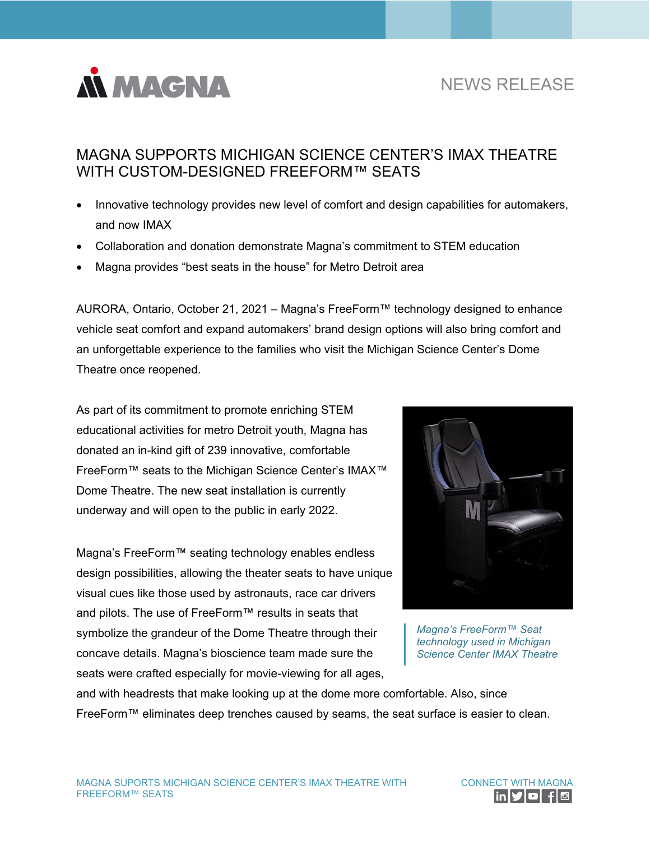

# NEWS RELEASE

## MAGNA SUPPORTS MICHIGAN SCIENCE CENTER'S IMAX THEATRE WITH CUSTOM-DESIGNED FREEFORM™ SEATS

- Innovative technology provides new level of comfort and design capabilities for automakers, and now IMAX
- Collaboration and donation demonstrate Magna's commitment to STEM education
- Magna provides "best seats in the house" for Metro Detroit area

AURORA, Ontario, October 21, 2021 – Magna's FreeForm™ technology designed to enhance vehicle seat comfort and expand automakers' brand design options will also bring comfort and an unforgettable experience to the families who visit the Michigan Science Center's Dome Theatre once reopened.

As part of its commitment to promote enriching STEM educational activities for metro Detroit youth, Magna has donated an in-kind gift of 239 innovative, comfortable FreeForm™ seats to the Michigan Science Center's IMAX™ Dome Theatre. The new seat installation is currently underway and will open to the public in early 2022.

Magna's FreeForm™ seating technology enables endless design possibilities, allowing the theater seats to have unique visual cues like those used by astronauts, race car drivers and pilots. The use of FreeForm™ results in seats that symbolize the grandeur of the Dome Theatre through their concave details. Magna's bioscience team made sure the seats were crafted especially for movie-viewing for all ages,



*Magna's FreeForm™ Seat technology used in Michigan Science Center IMAX Theatre* 

and with headrests that make looking up at the dome more comfortable. Also, since FreeForm™ eliminates deep trenches caused by seams, the seat surface is easier to clean.

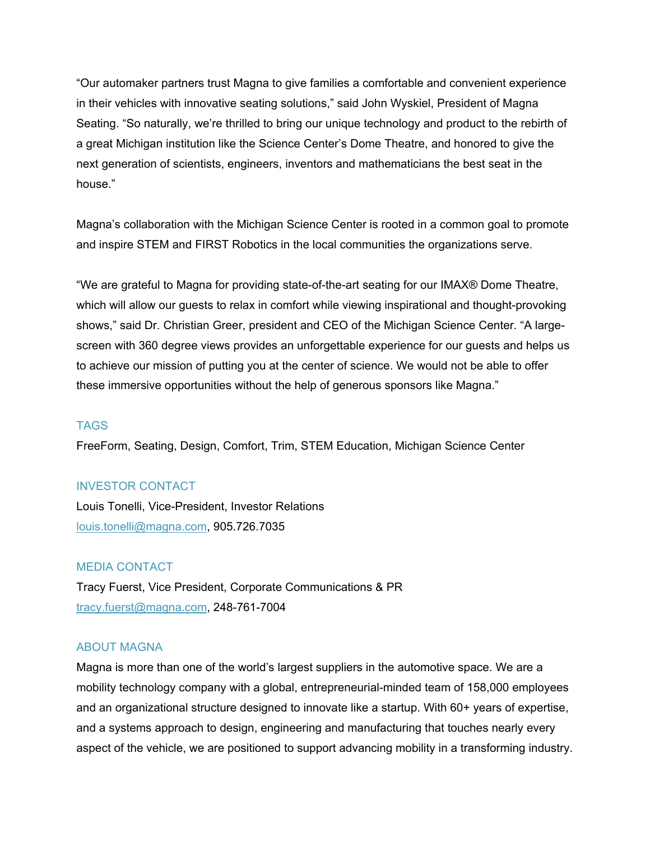"Our automaker partners trust Magna to give families a comfortable and convenient experience in their vehicles with innovative seating solutions," said John Wyskiel, President of Magna Seating. "So naturally, we're thrilled to bring our unique technology and product to the rebirth of a great Michigan institution like the Science Center's Dome Theatre, and honored to give the next generation of scientists, engineers, inventors and mathematicians the best seat in the house."

Magna's collaboration with the Michigan Science Center is rooted in a common goal to promote and inspire STEM and FIRST Robotics in the local communities the organizations serve.

"We are grateful to Magna for providing state-of-the-art seating for our IMAX® Dome Theatre, which will allow our guests to relax in comfort while viewing inspirational and thought-provoking shows," said Dr. Christian Greer, president and CEO of the Michigan Science Center. "A largescreen with 360 degree views provides an unforgettable experience for our guests and helps us to achieve our mission of putting you at the center of science. We would not be able to offer these immersive opportunities without the help of generous sponsors like Magna."

### **TAGS**

FreeForm, Seating, Design, Comfort, Trim, STEM Education, Michigan Science Center

#### INVESTOR CONTACT

Louis Tonelli, Vice-President, Investor Relations [louis.tonelli@magna.com,](mailto:louis.tonelli@magna.com) 905.726.7035

### MEDIA CONTACT

Tracy Fuerst, Vice President, Corporate Communications & PR [tracy.fuerst@magna.com,](mailto:tracy.fuerst@magna.com) 248-761-7004

#### ABOUT MAGNA

Magna is more than one of the world's largest suppliers in the automotive space. We are a mobility technology company with a global, entrepreneurial-minded team of 158,000 employees and an organizational structure designed to innovate like a startup. With 60+ years of expertise, and a systems approach to design, engineering and manufacturing that touches nearly every aspect of the vehicle, we are positioned to support advancing mobility in a transforming industry.